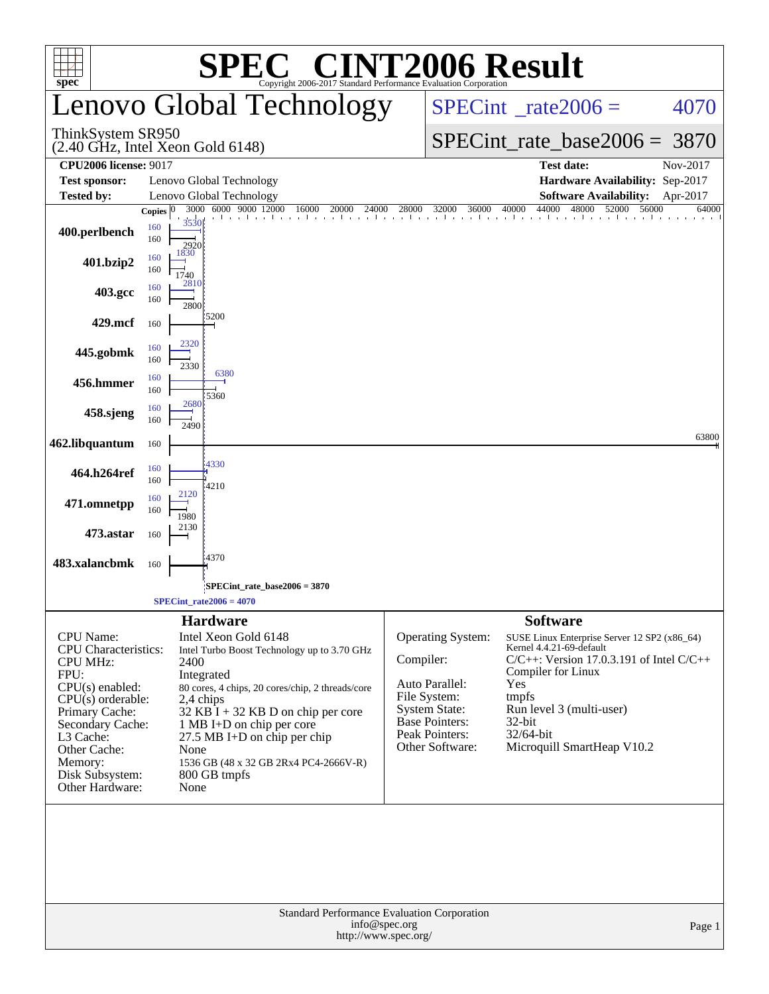| <b>SPEC<sup>®</sup> CINT2006 Result</b><br>Convright 2006-2017 Standard Performance Evaluation Corporation<br>spec <sup>®</sup>                                                                                                            |                                   |                                                                                                                                                                                                                                                                                                                                                                     |           |                                                                                                                                           |                                                                                                                                                                                                                                                                        |          |  |  |  |  |
|--------------------------------------------------------------------------------------------------------------------------------------------------------------------------------------------------------------------------------------------|-----------------------------------|---------------------------------------------------------------------------------------------------------------------------------------------------------------------------------------------------------------------------------------------------------------------------------------------------------------------------------------------------------------------|-----------|-------------------------------------------------------------------------------------------------------------------------------------------|------------------------------------------------------------------------------------------------------------------------------------------------------------------------------------------------------------------------------------------------------------------------|----------|--|--|--|--|
|                                                                                                                                                                                                                                            |                                   | Lenovo Global Technology                                                                                                                                                                                                                                                                                                                                            |           | $SPECint^{\circ}$ rate $2006 =$                                                                                                           | 4070                                                                                                                                                                                                                                                                   |          |  |  |  |  |
| ThinkSystem SR950<br>$(2.40 \text{ GHz}, \text{Intel Xeon Gold } 6148)$                                                                                                                                                                    |                                   |                                                                                                                                                                                                                                                                                                                                                                     |           |                                                                                                                                           | $SPECint_rate_base2006 = 3870$                                                                                                                                                                                                                                         |          |  |  |  |  |
| <b>CPU2006 license: 9017</b>                                                                                                                                                                                                               |                                   |                                                                                                                                                                                                                                                                                                                                                                     |           |                                                                                                                                           | <b>Test date:</b>                                                                                                                                                                                                                                                      | Nov-2017 |  |  |  |  |
| <b>Test sponsor:</b>                                                                                                                                                                                                                       |                                   | Lenovo Global Technology                                                                                                                                                                                                                                                                                                                                            |           |                                                                                                                                           | Hardware Availability: Sep-2017                                                                                                                                                                                                                                        |          |  |  |  |  |
| <b>Tested by:</b>                                                                                                                                                                                                                          |                                   | Lenovo Global Technology                                                                                                                                                                                                                                                                                                                                            |           | <b>Software Availability:</b><br>Apr-2017                                                                                                 |                                                                                                                                                                                                                                                                        |          |  |  |  |  |
| 400.perlbench                                                                                                                                                                                                                              | Copies $ 0 $<br>160<br>160<br>160 | 3000 6000 9000 12000<br>16000<br>20000<br>24000<br>the characteristic relationship in the continuation of a continuation<br>3530<br>2920<br>1830                                                                                                                                                                                                                    | 28000     | 32000<br>36000                                                                                                                            | 44000<br>48000<br>52000<br>56000<br>40000                                                                                                                                                                                                                              | 64000    |  |  |  |  |
| 401.bzip2                                                                                                                                                                                                                                  | 160<br>160                        | 1740<br>2810                                                                                                                                                                                                                                                                                                                                                        |           |                                                                                                                                           |                                                                                                                                                                                                                                                                        |          |  |  |  |  |
| 403.gcc                                                                                                                                                                                                                                    | 160                               | 2800<br>15200                                                                                                                                                                                                                                                                                                                                                       |           |                                                                                                                                           |                                                                                                                                                                                                                                                                        |          |  |  |  |  |
| 429.mcf                                                                                                                                                                                                                                    | 160                               | 2320                                                                                                                                                                                                                                                                                                                                                                |           |                                                                                                                                           |                                                                                                                                                                                                                                                                        |          |  |  |  |  |
| 445.gobmk                                                                                                                                                                                                                                  | 160<br>160                        | 2330<br>6380                                                                                                                                                                                                                                                                                                                                                        |           |                                                                                                                                           |                                                                                                                                                                                                                                                                        |          |  |  |  |  |
| 456.hmmer                                                                                                                                                                                                                                  | 160<br>160                        | 5360<br>2680                                                                                                                                                                                                                                                                                                                                                        |           |                                                                                                                                           |                                                                                                                                                                                                                                                                        |          |  |  |  |  |
| 458.sjeng                                                                                                                                                                                                                                  | 160<br>160                        | 2490                                                                                                                                                                                                                                                                                                                                                                |           |                                                                                                                                           |                                                                                                                                                                                                                                                                        |          |  |  |  |  |
| 462.libquantum                                                                                                                                                                                                                             | 160                               | 4330                                                                                                                                                                                                                                                                                                                                                                |           |                                                                                                                                           |                                                                                                                                                                                                                                                                        | 63800    |  |  |  |  |
| 464.h264ref                                                                                                                                                                                                                                | 160<br>160                        | 4210<br>2120                                                                                                                                                                                                                                                                                                                                                        |           |                                                                                                                                           |                                                                                                                                                                                                                                                                        |          |  |  |  |  |
| 471.omnetpp                                                                                                                                                                                                                                | 160<br>160                        | 1980                                                                                                                                                                                                                                                                                                                                                                |           |                                                                                                                                           |                                                                                                                                                                                                                                                                        |          |  |  |  |  |
| 473.astar                                                                                                                                                                                                                                  | 160                               | 2130<br>4370                                                                                                                                                                                                                                                                                                                                                        |           |                                                                                                                                           |                                                                                                                                                                                                                                                                        |          |  |  |  |  |
| 483.xalancbmk                                                                                                                                                                                                                              | 160                               |                                                                                                                                                                                                                                                                                                                                                                     |           |                                                                                                                                           |                                                                                                                                                                                                                                                                        |          |  |  |  |  |
|                                                                                                                                                                                                                                            |                                   | SPECint rate base $2006 = 3870$<br>$SPECint_rate2006 = 4070$                                                                                                                                                                                                                                                                                                        |           |                                                                                                                                           |                                                                                                                                                                                                                                                                        |          |  |  |  |  |
| <b>CPU</b> Name:<br><b>CPU</b> Characteristics:<br><b>CPU MHz:</b><br>FPU:<br>$CPU(s)$ enabled:<br>$CPU(s)$ orderable:<br>Primary Cache:<br>Secondary Cache:<br>L3 Cache:<br>Other Cache:<br>Memory:<br>Disk Subsystem:<br>Other Hardware: |                                   | <b>Hardware</b><br>Intel Xeon Gold 6148<br>Intel Turbo Boost Technology up to 3.70 GHz<br>2400<br>Integrated<br>80 cores, 4 chips, 20 cores/chip, 2 threads/core<br>2,4 chips<br>$32$ KB $\bar{I}$ + 32 KB D on chip per core<br>1 MB I+D on chip per core<br>27.5 MB I+D on chip per chip<br>None<br>1536 GB (48 x 32 GB 2Rx4 PC4-2666V-R)<br>800 GB tmpfs<br>None | Compiler: | Operating System:<br>Auto Parallel:<br>File System:<br><b>System State:</b><br><b>Base Pointers:</b><br>Peak Pointers:<br>Other Software: | <b>Software</b><br>SUSE Linux Enterprise Server 12 SP2 (x86_64)<br>Kernel 4.4.21-69-default<br>$C/C++$ : Version 17.0.3.191 of Intel $C/C++$<br>Compiler for Linux<br>Yes<br>tmpfs<br>Run level 3 (multi-user)<br>$32$ -bit<br>32/64-bit<br>Microquill SmartHeap V10.2 |          |  |  |  |  |
|                                                                                                                                                                                                                                            |                                   | Standard Performance Evaluation Corporation<br>info@spec.org<br>http://www.spec.org/                                                                                                                                                                                                                                                                                |           |                                                                                                                                           |                                                                                                                                                                                                                                                                        | Page 1   |  |  |  |  |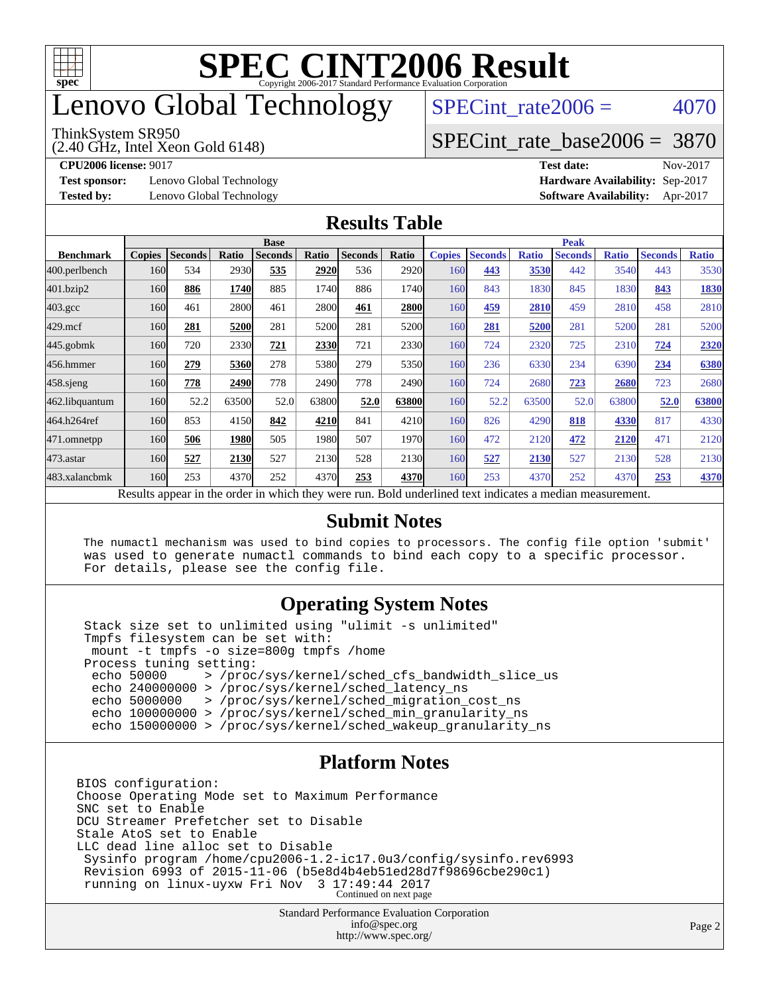

### enovo Global Technology

#### ThinkSystem SR950

(2.40 GHz, Intel Xeon Gold 6148)

SPECint rate $2006 = 4070$ 

#### [SPECint\\_rate\\_base2006 =](http://www.spec.org/auto/cpu2006/Docs/result-fields.html#SPECintratebase2006) 3870

**[Test sponsor:](http://www.spec.org/auto/cpu2006/Docs/result-fields.html#Testsponsor)** Lenovo Global Technology **[Hardware Availability:](http://www.spec.org/auto/cpu2006/Docs/result-fields.html#HardwareAvailability)** Sep-2017

**[CPU2006 license:](http://www.spec.org/auto/cpu2006/Docs/result-fields.html#CPU2006license)** 9017 **[Test date:](http://www.spec.org/auto/cpu2006/Docs/result-fields.html#Testdate)** Nov-2017 **[Tested by:](http://www.spec.org/auto/cpu2006/Docs/result-fields.html#Testedby)** Lenovo Global Technology **[Software Availability:](http://www.spec.org/auto/cpu2006/Docs/result-fields.html#SoftwareAvailability)** Apr-2017

#### **[Results Table](http://www.spec.org/auto/cpu2006/Docs/result-fields.html#ResultsTable)**

|                                                                                                                                               | <b>Base</b>   |                |       |                |       |                |       | <b>Peak</b>   |                |              |                |              |                |              |
|-----------------------------------------------------------------------------------------------------------------------------------------------|---------------|----------------|-------|----------------|-------|----------------|-------|---------------|----------------|--------------|----------------|--------------|----------------|--------------|
| <b>Benchmark</b>                                                                                                                              | <b>Copies</b> | <b>Seconds</b> | Ratio | <b>Seconds</b> | Ratio | <b>Seconds</b> | Ratio | <b>Copies</b> | <b>Seconds</b> | <b>Ratio</b> | <b>Seconds</b> | <b>Ratio</b> | <b>Seconds</b> | <b>Ratio</b> |
| 400.perlbench                                                                                                                                 | 160           | 534            | 2930  | 535            | 2920  | 536            | 2920  | 160           | 443            | 3530         | 442            | 3540         | 443            | 3530         |
| 401.bzip2                                                                                                                                     | 160           | 886            | 1740  | 885            | 1740  | 886            | 1740  | 160           | 843            | 1830         | 845            | 1830         | 843            | 1830         |
| $403.\text{gcc}$                                                                                                                              | 160           | 461            | 2800  | 461            | 2800  | 461            | 2800  | 160           | 459            | 2810         | 459            | 2810         | 458            | 2810         |
| $429$ .mcf                                                                                                                                    | 160           | 281            | 5200  | 281            | 5200  | 281            | 5200  | 160           | 281            | 5200         | 281            | 5200         | 281            | 5200         |
| $445$ .gobmk                                                                                                                                  | 160           | 720            | 2330  | 721            | 2330  | 721            | 2330  | 160           | 724            | 2320         | 725            | 2310         | 724            | 2320         |
| 456.hmmer                                                                                                                                     | 160           | 279            | 5360  | 278            | 5380  | 279            | 5350  | 160           | 236            | 6330         | 234            | 6390         | 234            | 6380         |
| $458$ .sjeng                                                                                                                                  | 160           | 778            | 2490  | 778            | 2490  | 778            | 2490  | 160           | 724            | 2680         | 723            | 2680         | 723            | 2680         |
| 462.libquantum                                                                                                                                | 160           | 52.2           | 63500 | 52.0           | 63800 | 52.0           | 63800 | 160           | 52.2           | 63500        | 52.0           | 63800        | 52.0           | 63800        |
| 464.h264ref                                                                                                                                   | 160           | 853            | 4150  | 842            | 4210  | 841            | 4210  | 160           | 826            | 4290         | 818            | 4330         | 817            | 4330         |
| 471.omnetpp                                                                                                                                   | 160           | 506            | 1980  | 505            | 1980  | 507            | 1970  | 160           | 472            | 2120         | 472            | 2120         | 471            | 2120         |
| $473$ . astar                                                                                                                                 | 160           | 527            | 2130  | 527            | 2130  | 528            | 2130  | 160           | 527            | 2130         | 527            | 2130         | 528            | 2130         |
| 483.xalancbmk                                                                                                                                 | 160           | 253            | 4370  | 252            | 4370  | 253            | 4370  | 160           | 253            | 4370         | 252            | 4370         | 253            | 4370         |
| Desertes superinted that<br>المحمول بالمستحدث والمستلف الملائم والمتعارض المتعارض والمستحدث<br>Deld and called to change in discrete a modium |               |                |       |                |       |                |       |               |                |              |                |              |                |              |

Results appear in the [order in which they were run.](http://www.spec.org/auto/cpu2006/Docs/result-fields.html#RunOrder) Bold underlined text [indicates a median measurement.](http://www.spec.org/auto/cpu2006/Docs/result-fields.html#Median)

#### **[Submit Notes](http://www.spec.org/auto/cpu2006/Docs/result-fields.html#SubmitNotes)**

 The numactl mechanism was used to bind copies to processors. The config file option 'submit' was used to generate numactl commands to bind each copy to a specific processor. For details, please see the config file.

#### **[Operating System Notes](http://www.spec.org/auto/cpu2006/Docs/result-fields.html#OperatingSystemNotes)**

 Stack size set to unlimited using "ulimit -s unlimited" Tmpfs filesystem can be set with: mount -t tmpfs -o size=800g tmpfs /home Process tuning setting:<br>echo 50000 > /proc echo 50000 > /proc/sys/kernel/sched\_cfs\_bandwidth\_slice\_us echo 240000000 > /proc/sys/kernel/sched\_latency\_ns echo 5000000 > /proc/sys/kernel/sched\_migration\_cost\_ns echo 100000000 > /proc/sys/kernel/sched\_min\_granularity\_ns echo 150000000 > /proc/sys/kernel/sched\_wakeup\_granularity\_ns

#### **[Platform Notes](http://www.spec.org/auto/cpu2006/Docs/result-fields.html#PlatformNotes)**

BIOS configuration: Choose Operating Mode set to Maximum Performance SNC set to Enable DCU Streamer Prefetcher set to Disable Stale AtoS set to Enable LLC dead line alloc set to Disable Sysinfo program /home/cpu2006-1.2-ic17.0u3/config/sysinfo.rev6993 Revision 6993 of 2015-11-06 (b5e8d4b4eb51ed28d7f98696cbe290c1) running on linux-uyxw Fri Nov 3 17:49:44 2017 Continued on next page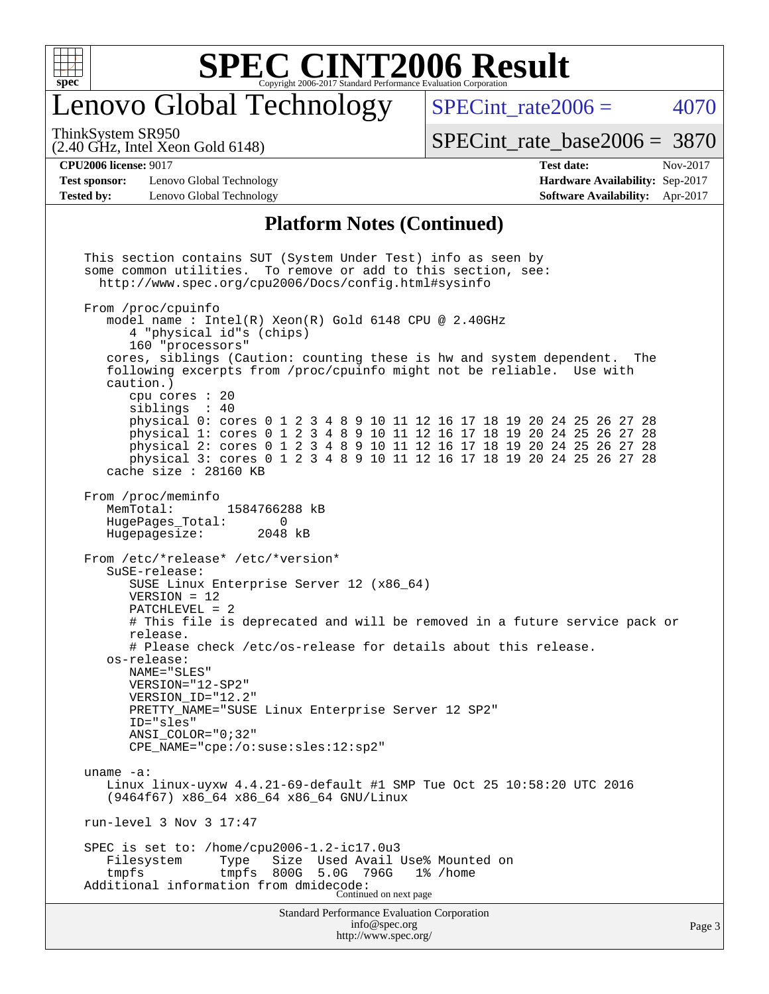

### enovo Global Technology

SPECint rate $2006 = 4070$ 

(2.40 GHz, Intel Xeon Gold 6148) ThinkSystem SR950

[SPECint\\_rate\\_base2006 =](http://www.spec.org/auto/cpu2006/Docs/result-fields.html#SPECintratebase2006) 3870

**[Test sponsor:](http://www.spec.org/auto/cpu2006/Docs/result-fields.html#Testsponsor)** Lenovo Global Technology **[Hardware Availability:](http://www.spec.org/auto/cpu2006/Docs/result-fields.html#HardwareAvailability)** Sep-2017 **[Tested by:](http://www.spec.org/auto/cpu2006/Docs/result-fields.html#Testedby)** Lenovo Global Technology **[Software Availability:](http://www.spec.org/auto/cpu2006/Docs/result-fields.html#SoftwareAvailability)** Apr-2017

**[CPU2006 license:](http://www.spec.org/auto/cpu2006/Docs/result-fields.html#CPU2006license)** 9017 **[Test date:](http://www.spec.org/auto/cpu2006/Docs/result-fields.html#Testdate)** Nov-2017

#### **[Platform Notes \(Continued\)](http://www.spec.org/auto/cpu2006/Docs/result-fields.html#PlatformNotes)**

Standard Performance Evaluation Corporation [info@spec.org](mailto:info@spec.org) This section contains SUT (System Under Test) info as seen by some common utilities. To remove or add to this section, see: <http://www.spec.org/cpu2006/Docs/config.html#sysinfo> From /proc/cpuinfo model name : Intel(R) Xeon(R) Gold 6148 CPU @ 2.40GHz 4 "physical id"s (chips) 160 "processors" cores, siblings (Caution: counting these is hw and system dependent. The following excerpts from /proc/cpuinfo might not be reliable. Use with caution.) cpu cores : 20 siblings : 40 physical 0: cores 0 1 2 3 4 8 9 10 11 12 16 17 18 19 20 24 25 26 27 28 physical 1: cores 0 1 2 3 4 8 9 10 11 12 16 17 18 19 20 24 25 26 27 28 physical 2: cores 0 1 2 3 4 8 9 10 11 12 16 17 18 19 20 24 25 26 27 28 physical 3: cores 0 1 2 3 4 8 9 10 11 12 16 17 18 19 20 24 25 26 27 28 cache size : 28160 KB From /proc/meminfo MemTotal: 1584766288 kB HugePages\_Total: 0 Hugepagesize: 2048 kB From /etc/\*release\* /etc/\*version\* SuSE-release: SUSE Linux Enterprise Server 12 (x86\_64) VERSION = 12 PATCHLEVEL = 2 # This file is deprecated and will be removed in a future service pack or release. # Please check /etc/os-release for details about this release. os-release: NAME="SLES" VERSION="12-SP2" VERSION\_ID="12.2" PRETTY\_NAME="SUSE Linux Enterprise Server 12 SP2" ID="sles" ANSI\_COLOR="0;32" CPE\_NAME="cpe:/o:suse:sles:12:sp2" uname -a: Linux linux-uyxw 4.4.21-69-default #1 SMP Tue Oct 25 10:58:20 UTC 2016 (9464f67) x86\_64 x86\_64 x86\_64 GNU/Linux run-level 3 Nov 3 17:47 SPEC is set to: /home/cpu2006-1.2-ic17.0u3<br>Filesystem Type Size Used Avail Used Avail Use% Mounted on tmpfs tmpfs 800G 5.0G 796G 1% /home Additional information from dmidecode: Continued on next page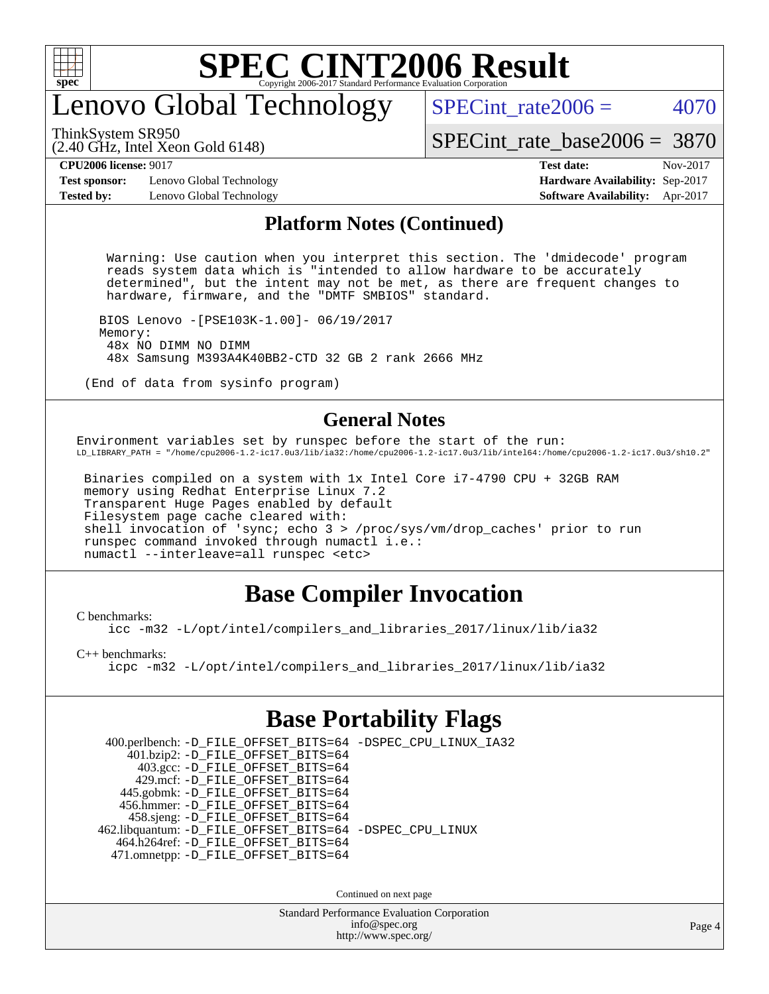

# enovo Global Technology

SPECint rate $2006 = 4070$ 

ThinkSystem SR950

(2.40 GHz, Intel Xeon Gold 6148)

[SPECint\\_rate\\_base2006 =](http://www.spec.org/auto/cpu2006/Docs/result-fields.html#SPECintratebase2006) 3870

**[Test sponsor:](http://www.spec.org/auto/cpu2006/Docs/result-fields.html#Testsponsor)** Lenovo Global Technology **[Hardware Availability:](http://www.spec.org/auto/cpu2006/Docs/result-fields.html#HardwareAvailability)** Sep-2017 **[Tested by:](http://www.spec.org/auto/cpu2006/Docs/result-fields.html#Testedby)** Lenovo Global Technology **[Software Availability:](http://www.spec.org/auto/cpu2006/Docs/result-fields.html#SoftwareAvailability)** Apr-2017

# **[CPU2006 license:](http://www.spec.org/auto/cpu2006/Docs/result-fields.html#CPU2006license)** 9017 **[Test date:](http://www.spec.org/auto/cpu2006/Docs/result-fields.html#Testdate)** Nov-2017

#### **[Platform Notes \(Continued\)](http://www.spec.org/auto/cpu2006/Docs/result-fields.html#PlatformNotes)**

 Warning: Use caution when you interpret this section. The 'dmidecode' program reads system data which is "intended to allow hardware to be accurately determined", but the intent may not be met, as there are frequent changes to hardware, firmware, and the "DMTF SMBIOS" standard.

 BIOS Lenovo -[PSE103K-1.00]- 06/19/2017 Memory: 48x NO DIMM NO DIMM 48x Samsung M393A4K40BB2-CTD 32 GB 2 rank 2666 MHz

(End of data from sysinfo program)

#### **[General Notes](http://www.spec.org/auto/cpu2006/Docs/result-fields.html#GeneralNotes)**

Environment variables set by runspec before the start of the run: LD\_LIBRARY\_PATH = "/home/cpu2006-1.2-ic17.0u3/lib/ia32:/home/cpu2006-1.2-ic17.0u3/lib/intel64:/home/cpu2006-1.2-ic17.0u3/sh10.2"

 Binaries compiled on a system with 1x Intel Core i7-4790 CPU + 32GB RAM memory using Redhat Enterprise Linux 7.2 Transparent Huge Pages enabled by default Filesystem page cache cleared with: shell invocation of 'sync; echo 3 > /proc/sys/vm/drop\_caches' prior to run runspec command invoked through numactl i.e.: numactl --interleave=all runspec <etc>

### **[Base Compiler Invocation](http://www.spec.org/auto/cpu2006/Docs/result-fields.html#BaseCompilerInvocation)**

[C benchmarks](http://www.spec.org/auto/cpu2006/Docs/result-fields.html#Cbenchmarks):

[icc -m32 -L/opt/intel/compilers\\_and\\_libraries\\_2017/linux/lib/ia32](http://www.spec.org/cpu2006/results/res2017q4/cpu2006-20171114-50720.flags.html#user_CCbase_intel_icc_c29f3ff5a7ed067b11e4ec10a03f03ae)

[C++ benchmarks:](http://www.spec.org/auto/cpu2006/Docs/result-fields.html#CXXbenchmarks)

[icpc -m32 -L/opt/intel/compilers\\_and\\_libraries\\_2017/linux/lib/ia32](http://www.spec.org/cpu2006/results/res2017q4/cpu2006-20171114-50720.flags.html#user_CXXbase_intel_icpc_8c35c7808b62dab9ae41a1aa06361b6b)

### **[Base Portability Flags](http://www.spec.org/auto/cpu2006/Docs/result-fields.html#BasePortabilityFlags)**

 400.perlbench: [-D\\_FILE\\_OFFSET\\_BITS=64](http://www.spec.org/cpu2006/results/res2017q4/cpu2006-20171114-50720.flags.html#user_basePORTABILITY400_perlbench_file_offset_bits_64_438cf9856305ebd76870a2c6dc2689ab) [-DSPEC\\_CPU\\_LINUX\\_IA32](http://www.spec.org/cpu2006/results/res2017q4/cpu2006-20171114-50720.flags.html#b400.perlbench_baseCPORTABILITY_DSPEC_CPU_LINUX_IA32) 401.bzip2: [-D\\_FILE\\_OFFSET\\_BITS=64](http://www.spec.org/cpu2006/results/res2017q4/cpu2006-20171114-50720.flags.html#user_basePORTABILITY401_bzip2_file_offset_bits_64_438cf9856305ebd76870a2c6dc2689ab) 403.gcc: [-D\\_FILE\\_OFFSET\\_BITS=64](http://www.spec.org/cpu2006/results/res2017q4/cpu2006-20171114-50720.flags.html#user_basePORTABILITY403_gcc_file_offset_bits_64_438cf9856305ebd76870a2c6dc2689ab) 429.mcf: [-D\\_FILE\\_OFFSET\\_BITS=64](http://www.spec.org/cpu2006/results/res2017q4/cpu2006-20171114-50720.flags.html#user_basePORTABILITY429_mcf_file_offset_bits_64_438cf9856305ebd76870a2c6dc2689ab) 445.gobmk: [-D\\_FILE\\_OFFSET\\_BITS=64](http://www.spec.org/cpu2006/results/res2017q4/cpu2006-20171114-50720.flags.html#user_basePORTABILITY445_gobmk_file_offset_bits_64_438cf9856305ebd76870a2c6dc2689ab) 456.hmmer: [-D\\_FILE\\_OFFSET\\_BITS=64](http://www.spec.org/cpu2006/results/res2017q4/cpu2006-20171114-50720.flags.html#user_basePORTABILITY456_hmmer_file_offset_bits_64_438cf9856305ebd76870a2c6dc2689ab) 458.sjeng: [-D\\_FILE\\_OFFSET\\_BITS=64](http://www.spec.org/cpu2006/results/res2017q4/cpu2006-20171114-50720.flags.html#user_basePORTABILITY458_sjeng_file_offset_bits_64_438cf9856305ebd76870a2c6dc2689ab) 462.libquantum: [-D\\_FILE\\_OFFSET\\_BITS=64](http://www.spec.org/cpu2006/results/res2017q4/cpu2006-20171114-50720.flags.html#user_basePORTABILITY462_libquantum_file_offset_bits_64_438cf9856305ebd76870a2c6dc2689ab) [-DSPEC\\_CPU\\_LINUX](http://www.spec.org/cpu2006/results/res2017q4/cpu2006-20171114-50720.flags.html#b462.libquantum_baseCPORTABILITY_DSPEC_CPU_LINUX) 464.h264ref: [-D\\_FILE\\_OFFSET\\_BITS=64](http://www.spec.org/cpu2006/results/res2017q4/cpu2006-20171114-50720.flags.html#user_basePORTABILITY464_h264ref_file_offset_bits_64_438cf9856305ebd76870a2c6dc2689ab) 471.omnetpp: [-D\\_FILE\\_OFFSET\\_BITS=64](http://www.spec.org/cpu2006/results/res2017q4/cpu2006-20171114-50720.flags.html#user_basePORTABILITY471_omnetpp_file_offset_bits_64_438cf9856305ebd76870a2c6dc2689ab)

Continued on next page

Standard Performance Evaluation Corporation [info@spec.org](mailto:info@spec.org) <http://www.spec.org/>

Page 4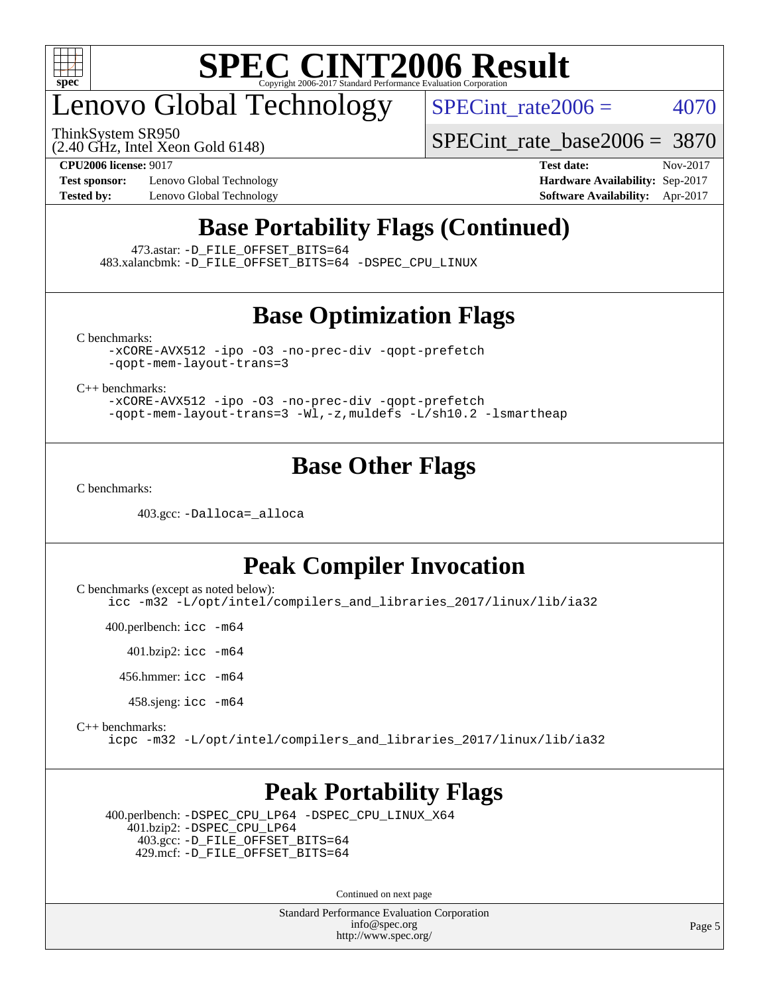

# enovo Global Technology

ThinkSystem SR950

SPECint rate $2006 = 4070$ 

[SPECint\\_rate\\_base2006 =](http://www.spec.org/auto/cpu2006/Docs/result-fields.html#SPECintratebase2006) 3870

(2.40 GHz, Intel Xeon Gold 6148)

**[Test sponsor:](http://www.spec.org/auto/cpu2006/Docs/result-fields.html#Testsponsor)** Lenovo Global Technology **[Hardware Availability:](http://www.spec.org/auto/cpu2006/Docs/result-fields.html#HardwareAvailability)** Sep-2017

**[CPU2006 license:](http://www.spec.org/auto/cpu2006/Docs/result-fields.html#CPU2006license)** 9017 **[Test date:](http://www.spec.org/auto/cpu2006/Docs/result-fields.html#Testdate)** Nov-2017 **[Tested by:](http://www.spec.org/auto/cpu2006/Docs/result-fields.html#Testedby)** Lenovo Global Technology **[Software Availability:](http://www.spec.org/auto/cpu2006/Docs/result-fields.html#SoftwareAvailability)** Apr-2017

### **[Base Portability Flags \(Continued\)](http://www.spec.org/auto/cpu2006/Docs/result-fields.html#BasePortabilityFlags)**

473.astar: [-D\\_FILE\\_OFFSET\\_BITS=64](http://www.spec.org/cpu2006/results/res2017q4/cpu2006-20171114-50720.flags.html#user_basePORTABILITY473_astar_file_offset_bits_64_438cf9856305ebd76870a2c6dc2689ab)

483.xalancbmk: [-D\\_FILE\\_OFFSET\\_BITS=64](http://www.spec.org/cpu2006/results/res2017q4/cpu2006-20171114-50720.flags.html#user_basePORTABILITY483_xalancbmk_file_offset_bits_64_438cf9856305ebd76870a2c6dc2689ab) [-DSPEC\\_CPU\\_LINUX](http://www.spec.org/cpu2006/results/res2017q4/cpu2006-20171114-50720.flags.html#b483.xalancbmk_baseCXXPORTABILITY_DSPEC_CPU_LINUX)

### **[Base Optimization Flags](http://www.spec.org/auto/cpu2006/Docs/result-fields.html#BaseOptimizationFlags)**

[C benchmarks](http://www.spec.org/auto/cpu2006/Docs/result-fields.html#Cbenchmarks):

[-xCORE-AVX512](http://www.spec.org/cpu2006/results/res2017q4/cpu2006-20171114-50720.flags.html#user_CCbase_f-xCORE-AVX512) [-ipo](http://www.spec.org/cpu2006/results/res2017q4/cpu2006-20171114-50720.flags.html#user_CCbase_f-ipo) [-O3](http://www.spec.org/cpu2006/results/res2017q4/cpu2006-20171114-50720.flags.html#user_CCbase_f-O3) [-no-prec-div](http://www.spec.org/cpu2006/results/res2017q4/cpu2006-20171114-50720.flags.html#user_CCbase_f-no-prec-div) [-qopt-prefetch](http://www.spec.org/cpu2006/results/res2017q4/cpu2006-20171114-50720.flags.html#user_CCbase_f-qopt-prefetch) [-qopt-mem-layout-trans=3](http://www.spec.org/cpu2006/results/res2017q4/cpu2006-20171114-50720.flags.html#user_CCbase_f-qopt-mem-layout-trans_170f5be61cd2cedc9b54468c59262d5d)

[C++ benchmarks:](http://www.spec.org/auto/cpu2006/Docs/result-fields.html#CXXbenchmarks)

[-xCORE-AVX512](http://www.spec.org/cpu2006/results/res2017q4/cpu2006-20171114-50720.flags.html#user_CXXbase_f-xCORE-AVX512) [-ipo](http://www.spec.org/cpu2006/results/res2017q4/cpu2006-20171114-50720.flags.html#user_CXXbase_f-ipo) [-O3](http://www.spec.org/cpu2006/results/res2017q4/cpu2006-20171114-50720.flags.html#user_CXXbase_f-O3) [-no-prec-div](http://www.spec.org/cpu2006/results/res2017q4/cpu2006-20171114-50720.flags.html#user_CXXbase_f-no-prec-div) [-qopt-prefetch](http://www.spec.org/cpu2006/results/res2017q4/cpu2006-20171114-50720.flags.html#user_CXXbase_f-qopt-prefetch) [-qopt-mem-layout-trans=3](http://www.spec.org/cpu2006/results/res2017q4/cpu2006-20171114-50720.flags.html#user_CXXbase_f-qopt-mem-layout-trans_170f5be61cd2cedc9b54468c59262d5d) [-Wl,-z,muldefs](http://www.spec.org/cpu2006/results/res2017q4/cpu2006-20171114-50720.flags.html#user_CXXbase_link_force_multiple1_74079c344b956b9658436fd1b6dd3a8a) [-L/sh10.2 -lsmartheap](http://www.spec.org/cpu2006/results/res2017q4/cpu2006-20171114-50720.flags.html#user_CXXbase_SmartHeap_b831f2d313e2fffa6dfe3f00ffc1f1c0)

### **[Base Other Flags](http://www.spec.org/auto/cpu2006/Docs/result-fields.html#BaseOtherFlags)**

[C benchmarks](http://www.spec.org/auto/cpu2006/Docs/result-fields.html#Cbenchmarks):

403.gcc: [-Dalloca=\\_alloca](http://www.spec.org/cpu2006/results/res2017q4/cpu2006-20171114-50720.flags.html#b403.gcc_baseEXTRA_CFLAGS_Dalloca_be3056838c12de2578596ca5467af7f3)

#### **[Peak Compiler Invocation](http://www.spec.org/auto/cpu2006/Docs/result-fields.html#PeakCompilerInvocation)**

[C benchmarks \(except as noted below\)](http://www.spec.org/auto/cpu2006/Docs/result-fields.html#Cbenchmarksexceptasnotedbelow):

[icc -m32 -L/opt/intel/compilers\\_and\\_libraries\\_2017/linux/lib/ia32](http://www.spec.org/cpu2006/results/res2017q4/cpu2006-20171114-50720.flags.html#user_CCpeak_intel_icc_c29f3ff5a7ed067b11e4ec10a03f03ae)

400.perlbench: [icc -m64](http://www.spec.org/cpu2006/results/res2017q4/cpu2006-20171114-50720.flags.html#user_peakCCLD400_perlbench_intel_icc_64bit_bda6cc9af1fdbb0edc3795bac97ada53)

401.bzip2: [icc -m64](http://www.spec.org/cpu2006/results/res2017q4/cpu2006-20171114-50720.flags.html#user_peakCCLD401_bzip2_intel_icc_64bit_bda6cc9af1fdbb0edc3795bac97ada53)

456.hmmer: [icc -m64](http://www.spec.org/cpu2006/results/res2017q4/cpu2006-20171114-50720.flags.html#user_peakCCLD456_hmmer_intel_icc_64bit_bda6cc9af1fdbb0edc3795bac97ada53)

458.sjeng: [icc -m64](http://www.spec.org/cpu2006/results/res2017q4/cpu2006-20171114-50720.flags.html#user_peakCCLD458_sjeng_intel_icc_64bit_bda6cc9af1fdbb0edc3795bac97ada53)

[C++ benchmarks:](http://www.spec.org/auto/cpu2006/Docs/result-fields.html#CXXbenchmarks)

[icpc -m32 -L/opt/intel/compilers\\_and\\_libraries\\_2017/linux/lib/ia32](http://www.spec.org/cpu2006/results/res2017q4/cpu2006-20171114-50720.flags.html#user_CXXpeak_intel_icpc_8c35c7808b62dab9ae41a1aa06361b6b)

#### **[Peak Portability Flags](http://www.spec.org/auto/cpu2006/Docs/result-fields.html#PeakPortabilityFlags)**

 400.perlbench: [-DSPEC\\_CPU\\_LP64](http://www.spec.org/cpu2006/results/res2017q4/cpu2006-20171114-50720.flags.html#b400.perlbench_peakCPORTABILITY_DSPEC_CPU_LP64) [-DSPEC\\_CPU\\_LINUX\\_X64](http://www.spec.org/cpu2006/results/res2017q4/cpu2006-20171114-50720.flags.html#b400.perlbench_peakCPORTABILITY_DSPEC_CPU_LINUX_X64) 401.bzip2: [-DSPEC\\_CPU\\_LP64](http://www.spec.org/cpu2006/results/res2017q4/cpu2006-20171114-50720.flags.html#suite_peakCPORTABILITY401_bzip2_DSPEC_CPU_LP64) 403.gcc: [-D\\_FILE\\_OFFSET\\_BITS=64](http://www.spec.org/cpu2006/results/res2017q4/cpu2006-20171114-50720.flags.html#user_peakPORTABILITY403_gcc_file_offset_bits_64_438cf9856305ebd76870a2c6dc2689ab) 429.mcf: [-D\\_FILE\\_OFFSET\\_BITS=64](http://www.spec.org/cpu2006/results/res2017q4/cpu2006-20171114-50720.flags.html#user_peakPORTABILITY429_mcf_file_offset_bits_64_438cf9856305ebd76870a2c6dc2689ab)

Continued on next page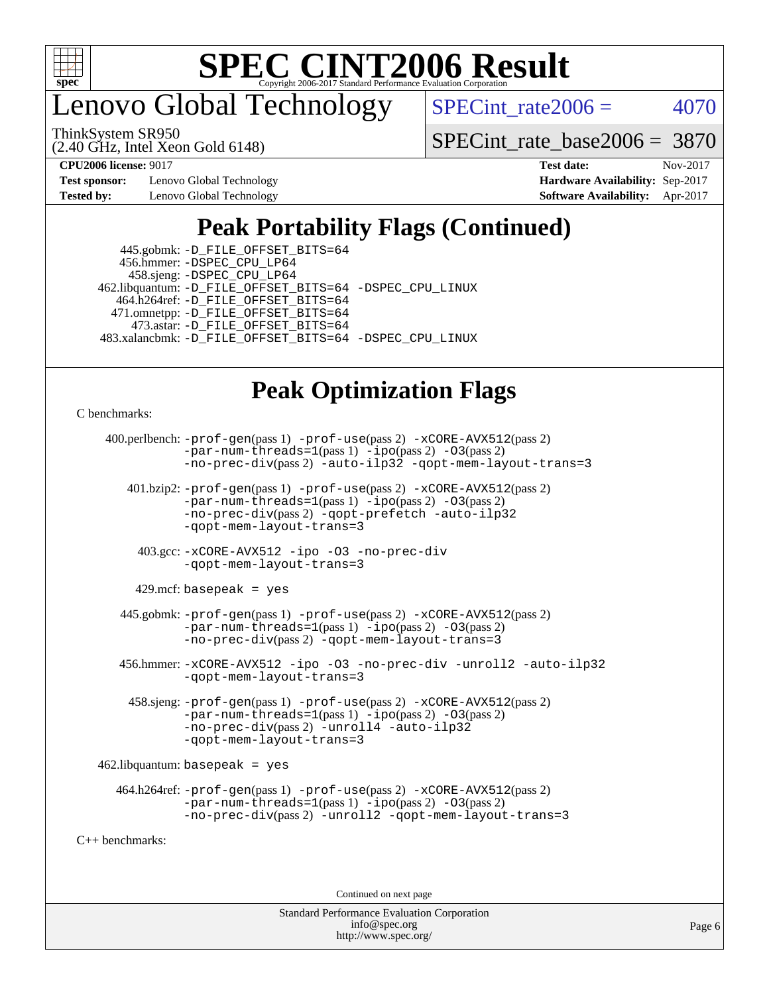

enovo Global Technology

SPECint rate $2006 = 4070$ 

(2.40 GHz, Intel Xeon Gold 6148) ThinkSystem SR950

[SPECint\\_rate\\_base2006 =](http://www.spec.org/auto/cpu2006/Docs/result-fields.html#SPECintratebase2006) 3870

**[Test sponsor:](http://www.spec.org/auto/cpu2006/Docs/result-fields.html#Testsponsor)** Lenovo Global Technology **[Hardware Availability:](http://www.spec.org/auto/cpu2006/Docs/result-fields.html#HardwareAvailability)** Sep-2017 **[Tested by:](http://www.spec.org/auto/cpu2006/Docs/result-fields.html#Testedby)** Lenovo Global Technology **[Software Availability:](http://www.spec.org/auto/cpu2006/Docs/result-fields.html#SoftwareAvailability)** Apr-2017

**[CPU2006 license:](http://www.spec.org/auto/cpu2006/Docs/result-fields.html#CPU2006license)** 9017 **[Test date:](http://www.spec.org/auto/cpu2006/Docs/result-fields.html#Testdate)** Nov-2017

### **[Peak Portability Flags \(Continued\)](http://www.spec.org/auto/cpu2006/Docs/result-fields.html#PeakPortabilityFlags)**

 445.gobmk: [-D\\_FILE\\_OFFSET\\_BITS=64](http://www.spec.org/cpu2006/results/res2017q4/cpu2006-20171114-50720.flags.html#user_peakPORTABILITY445_gobmk_file_offset_bits_64_438cf9856305ebd76870a2c6dc2689ab) 456.hmmer: [-DSPEC\\_CPU\\_LP64](http://www.spec.org/cpu2006/results/res2017q4/cpu2006-20171114-50720.flags.html#suite_peakCPORTABILITY456_hmmer_DSPEC_CPU_LP64) 458.sjeng: [-DSPEC\\_CPU\\_LP64](http://www.spec.org/cpu2006/results/res2017q4/cpu2006-20171114-50720.flags.html#suite_peakCPORTABILITY458_sjeng_DSPEC_CPU_LP64) 462.libquantum: [-D\\_FILE\\_OFFSET\\_BITS=64](http://www.spec.org/cpu2006/results/res2017q4/cpu2006-20171114-50720.flags.html#user_peakPORTABILITY462_libquantum_file_offset_bits_64_438cf9856305ebd76870a2c6dc2689ab) [-DSPEC\\_CPU\\_LINUX](http://www.spec.org/cpu2006/results/res2017q4/cpu2006-20171114-50720.flags.html#b462.libquantum_peakCPORTABILITY_DSPEC_CPU_LINUX) 464.h264ref: [-D\\_FILE\\_OFFSET\\_BITS=64](http://www.spec.org/cpu2006/results/res2017q4/cpu2006-20171114-50720.flags.html#user_peakPORTABILITY464_h264ref_file_offset_bits_64_438cf9856305ebd76870a2c6dc2689ab) 471.omnetpp: [-D\\_FILE\\_OFFSET\\_BITS=64](http://www.spec.org/cpu2006/results/res2017q4/cpu2006-20171114-50720.flags.html#user_peakPORTABILITY471_omnetpp_file_offset_bits_64_438cf9856305ebd76870a2c6dc2689ab) 473.astar: [-D\\_FILE\\_OFFSET\\_BITS=64](http://www.spec.org/cpu2006/results/res2017q4/cpu2006-20171114-50720.flags.html#user_peakPORTABILITY473_astar_file_offset_bits_64_438cf9856305ebd76870a2c6dc2689ab) 483.xalancbmk: [-D\\_FILE\\_OFFSET\\_BITS=64](http://www.spec.org/cpu2006/results/res2017q4/cpu2006-20171114-50720.flags.html#user_peakPORTABILITY483_xalancbmk_file_offset_bits_64_438cf9856305ebd76870a2c6dc2689ab) [-DSPEC\\_CPU\\_LINUX](http://www.spec.org/cpu2006/results/res2017q4/cpu2006-20171114-50720.flags.html#b483.xalancbmk_peakCXXPORTABILITY_DSPEC_CPU_LINUX)

### **[Peak Optimization Flags](http://www.spec.org/auto/cpu2006/Docs/result-fields.html#PeakOptimizationFlags)**

[C benchmarks](http://www.spec.org/auto/cpu2006/Docs/result-fields.html#Cbenchmarks):

```
 400.perlbench: -prof-gen(pass 1) -prof-use(pass 2) -xCORE-AVX512(pass 2)
                -par-num-threads=1(pass 1) -ipo(pass 2) -O3(pass 2)
                -no-prec-div(pass 2) -auto-ilp32 -qopt-mem-layout-trans=3
        401.bzip2: -prof-gen(pass 1) -prof-use(pass 2) -xCORE-AVX512(pass 2)
                -par-num-threads=1(pass 1) -ipo(pass 2) -O3(pass 2)
                -no-prec-div(pass 2) -qopt-prefetch -auto-ilp32
                -qopt-mem-layout-trans=3
          403.gcc: -xCORE-AVX512 -ipo -O3 -no-prec-div
                -qopt-mem-layout-trans=3
        429.mcf: basepeak = yes
       445.gobmk: -prof-gen(pass 1) -prof-use(pass 2) -xCORE-AVX512(pass 2)
                -par-num-threads=1(pass 1) -ipo(pass 2) -O3(pass 2)
                -no-prec-div(pass 2) -qopt-mem-layout-trans=3
       456.hmmer: -xCORE-AVX512 -ipo -O3 -no-prec-div -unroll2 -auto-ilp32
                -qopt-mem-layout-trans=3
        458.sjeng: -prof-gen(pass 1) -prof-use(pass 2) -xCORE-AVX512(pass 2)
                -par-num-threads=1(pass 1) -ipo(pass 2) -O3(pass 2)
                -no-prec-div(pass 2) -unroll4 -auto-ilp32
                -qopt-mem-layout-trans=3
    462.libquantum: basepeak = yes
      464.h264ref: -prof-gen(pass 1) -prof-use(pass 2) -xCORE-AVX512(pass 2)
                -par-num-threads=1(pass 1) -ipo(pass 2) -O3(pass 2)
                -no-prec-div(pass 2) -unroll2 -qopt-mem-layout-trans=3
C++ benchmarks:
```
Continued on next page